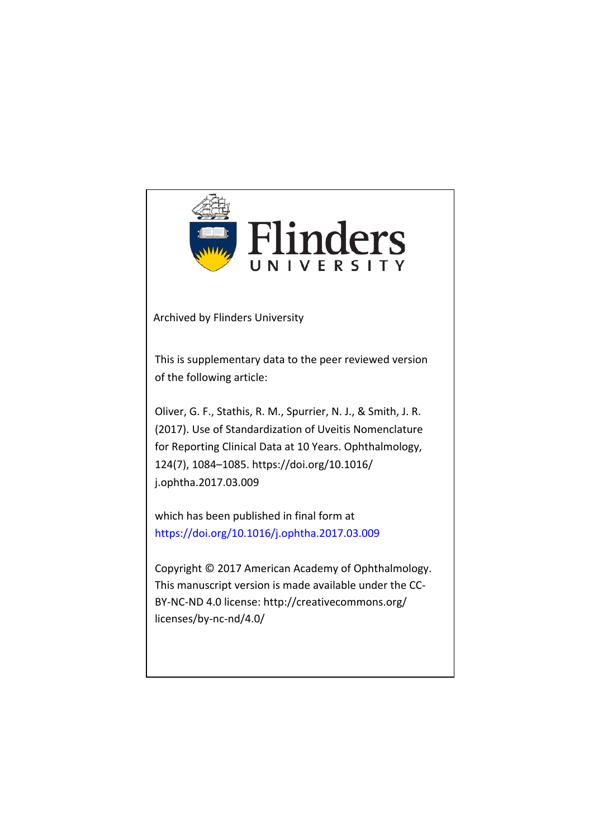

Archived by Flinders University

This is supplementary data to the peer reviewed version of the following article:

Oliver, G. F., Stathis, R. M., Spurrier, N. J., & Smith, J. R. (2017). Use of Standardization of Uveitis Nomenclature for Reporting Clinical Data at 10 Years. Ophthalmology, 124(7), 1084–1085. https://doi.org/10.1016/ j.ophtha.2017.03.009

which has been published in final form at https://doi.org/10.1016/j.ophtha.2017.03.009

Copyright © 2017 American Academy of Ophthalmology. This manuscript version is made available under the CC-BY-NC-ND 4.0 license: http://creativecommons.org/ licenses/by-nc-nd/4.0/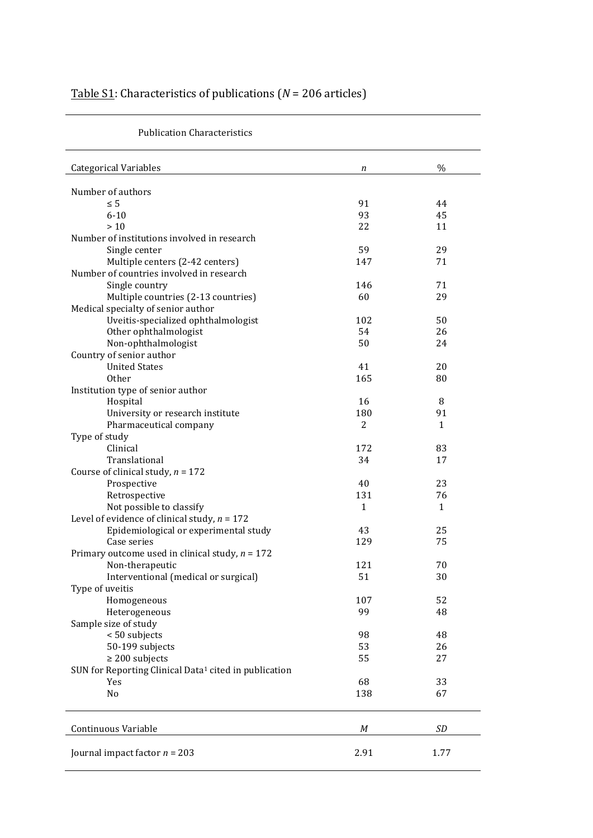| Table S1: Characteristics of publications ( $N = 206$ articles) |  |  |
|-----------------------------------------------------------------|--|--|
|-----------------------------------------------------------------|--|--|

| $\%$<br><b>Categorical Variables</b><br>n<br>Number of authors<br>91<br>$\leq 5$<br>44<br>$6 - 10$<br>93<br>45<br>>10<br>22<br>11<br>Number of institutions involved in research<br>59<br>29<br>Single center<br>Multiple centers (2-42 centers)<br>71<br>147<br>Number of countries involved in research<br>Single country<br>146<br>71<br>Multiple countries (2-13 countries)<br>60<br>29<br>Medical specialty of senior author<br>Uveitis-specialized ophthalmologist<br>102<br>50<br>Other ophthalmologist<br>54<br>26<br>Non-ophthalmologist<br>50<br>24<br>Country of senior author<br><b>United States</b><br>41<br>20<br><b>Other</b><br>165<br>80<br>Institution type of senior author<br>Hospital<br>16<br>8<br>University or research institute<br>180<br>91<br>Pharmaceutical company<br>2<br>$\mathbf{1}$<br>Type of study<br>Clinical<br>172<br>83<br>Translational<br>34<br>17<br>Course of clinical study, $n = 172$<br>Prospective<br>23<br>40<br>Retrospective<br>131<br>76<br>Not possible to classify<br>$\mathbf{1}$<br>$\mathbf{1}$<br>Level of evidence of clinical study, $n = 172$<br>25<br>Epidemiological or experimental study<br>43<br>Case series<br>129<br>75<br>Primary outcome used in clinical study, $n = 172$<br>Non-therapeutic<br>121<br>70<br>Interventional (medical or surgical)<br>51<br>30<br>Type of uveitis<br>52<br>107<br>Homogeneous<br>99<br>Heterogeneous<br>48<br>Sample size of study<br>< 50 subjects<br>98<br>48<br>50-199 subjects<br>53<br>26<br>$\geq 200$ subjects<br>55<br>27<br>SUN for Reporting Clinical Data <sup>1</sup> cited in publication<br>Yes<br>68<br>33<br>No<br>138<br>67<br>SD<br>Continuous Variable<br>M |                                 |      |      |
|---------------------------------------------------------------------------------------------------------------------------------------------------------------------------------------------------------------------------------------------------------------------------------------------------------------------------------------------------------------------------------------------------------------------------------------------------------------------------------------------------------------------------------------------------------------------------------------------------------------------------------------------------------------------------------------------------------------------------------------------------------------------------------------------------------------------------------------------------------------------------------------------------------------------------------------------------------------------------------------------------------------------------------------------------------------------------------------------------------------------------------------------------------------------------------------------------------------------------------------------------------------------------------------------------------------------------------------------------------------------------------------------------------------------------------------------------------------------------------------------------------------------------------------------------------------------------------------------------------------------------------------------------------------------------------------|---------------------------------|------|------|
|                                                                                                                                                                                                                                                                                                                                                                                                                                                                                                                                                                                                                                                                                                                                                                                                                                                                                                                                                                                                                                                                                                                                                                                                                                                                                                                                                                                                                                                                                                                                                                                                                                                                                       |                                 |      |      |
|                                                                                                                                                                                                                                                                                                                                                                                                                                                                                                                                                                                                                                                                                                                                                                                                                                                                                                                                                                                                                                                                                                                                                                                                                                                                                                                                                                                                                                                                                                                                                                                                                                                                                       |                                 |      |      |
|                                                                                                                                                                                                                                                                                                                                                                                                                                                                                                                                                                                                                                                                                                                                                                                                                                                                                                                                                                                                                                                                                                                                                                                                                                                                                                                                                                                                                                                                                                                                                                                                                                                                                       |                                 |      |      |
|                                                                                                                                                                                                                                                                                                                                                                                                                                                                                                                                                                                                                                                                                                                                                                                                                                                                                                                                                                                                                                                                                                                                                                                                                                                                                                                                                                                                                                                                                                                                                                                                                                                                                       |                                 |      |      |
|                                                                                                                                                                                                                                                                                                                                                                                                                                                                                                                                                                                                                                                                                                                                                                                                                                                                                                                                                                                                                                                                                                                                                                                                                                                                                                                                                                                                                                                                                                                                                                                                                                                                                       |                                 |      |      |
|                                                                                                                                                                                                                                                                                                                                                                                                                                                                                                                                                                                                                                                                                                                                                                                                                                                                                                                                                                                                                                                                                                                                                                                                                                                                                                                                                                                                                                                                                                                                                                                                                                                                                       |                                 |      |      |
|                                                                                                                                                                                                                                                                                                                                                                                                                                                                                                                                                                                                                                                                                                                                                                                                                                                                                                                                                                                                                                                                                                                                                                                                                                                                                                                                                                                                                                                                                                                                                                                                                                                                                       |                                 |      |      |
|                                                                                                                                                                                                                                                                                                                                                                                                                                                                                                                                                                                                                                                                                                                                                                                                                                                                                                                                                                                                                                                                                                                                                                                                                                                                                                                                                                                                                                                                                                                                                                                                                                                                                       |                                 |      |      |
|                                                                                                                                                                                                                                                                                                                                                                                                                                                                                                                                                                                                                                                                                                                                                                                                                                                                                                                                                                                                                                                                                                                                                                                                                                                                                                                                                                                                                                                                                                                                                                                                                                                                                       |                                 |      |      |
|                                                                                                                                                                                                                                                                                                                                                                                                                                                                                                                                                                                                                                                                                                                                                                                                                                                                                                                                                                                                                                                                                                                                                                                                                                                                                                                                                                                                                                                                                                                                                                                                                                                                                       |                                 |      |      |
|                                                                                                                                                                                                                                                                                                                                                                                                                                                                                                                                                                                                                                                                                                                                                                                                                                                                                                                                                                                                                                                                                                                                                                                                                                                                                                                                                                                                                                                                                                                                                                                                                                                                                       |                                 |      |      |
|                                                                                                                                                                                                                                                                                                                                                                                                                                                                                                                                                                                                                                                                                                                                                                                                                                                                                                                                                                                                                                                                                                                                                                                                                                                                                                                                                                                                                                                                                                                                                                                                                                                                                       |                                 |      |      |
|                                                                                                                                                                                                                                                                                                                                                                                                                                                                                                                                                                                                                                                                                                                                                                                                                                                                                                                                                                                                                                                                                                                                                                                                                                                                                                                                                                                                                                                                                                                                                                                                                                                                                       |                                 |      |      |
|                                                                                                                                                                                                                                                                                                                                                                                                                                                                                                                                                                                                                                                                                                                                                                                                                                                                                                                                                                                                                                                                                                                                                                                                                                                                                                                                                                                                                                                                                                                                                                                                                                                                                       |                                 |      |      |
|                                                                                                                                                                                                                                                                                                                                                                                                                                                                                                                                                                                                                                                                                                                                                                                                                                                                                                                                                                                                                                                                                                                                                                                                                                                                                                                                                                                                                                                                                                                                                                                                                                                                                       |                                 |      |      |
|                                                                                                                                                                                                                                                                                                                                                                                                                                                                                                                                                                                                                                                                                                                                                                                                                                                                                                                                                                                                                                                                                                                                                                                                                                                                                                                                                                                                                                                                                                                                                                                                                                                                                       |                                 |      |      |
|                                                                                                                                                                                                                                                                                                                                                                                                                                                                                                                                                                                                                                                                                                                                                                                                                                                                                                                                                                                                                                                                                                                                                                                                                                                                                                                                                                                                                                                                                                                                                                                                                                                                                       |                                 |      |      |
|                                                                                                                                                                                                                                                                                                                                                                                                                                                                                                                                                                                                                                                                                                                                                                                                                                                                                                                                                                                                                                                                                                                                                                                                                                                                                                                                                                                                                                                                                                                                                                                                                                                                                       |                                 |      |      |
|                                                                                                                                                                                                                                                                                                                                                                                                                                                                                                                                                                                                                                                                                                                                                                                                                                                                                                                                                                                                                                                                                                                                                                                                                                                                                                                                                                                                                                                                                                                                                                                                                                                                                       |                                 |      |      |
|                                                                                                                                                                                                                                                                                                                                                                                                                                                                                                                                                                                                                                                                                                                                                                                                                                                                                                                                                                                                                                                                                                                                                                                                                                                                                                                                                                                                                                                                                                                                                                                                                                                                                       |                                 |      |      |
|                                                                                                                                                                                                                                                                                                                                                                                                                                                                                                                                                                                                                                                                                                                                                                                                                                                                                                                                                                                                                                                                                                                                                                                                                                                                                                                                                                                                                                                                                                                                                                                                                                                                                       |                                 |      |      |
|                                                                                                                                                                                                                                                                                                                                                                                                                                                                                                                                                                                                                                                                                                                                                                                                                                                                                                                                                                                                                                                                                                                                                                                                                                                                                                                                                                                                                                                                                                                                                                                                                                                                                       |                                 |      |      |
|                                                                                                                                                                                                                                                                                                                                                                                                                                                                                                                                                                                                                                                                                                                                                                                                                                                                                                                                                                                                                                                                                                                                                                                                                                                                                                                                                                                                                                                                                                                                                                                                                                                                                       |                                 |      |      |
|                                                                                                                                                                                                                                                                                                                                                                                                                                                                                                                                                                                                                                                                                                                                                                                                                                                                                                                                                                                                                                                                                                                                                                                                                                                                                                                                                                                                                                                                                                                                                                                                                                                                                       |                                 |      |      |
|                                                                                                                                                                                                                                                                                                                                                                                                                                                                                                                                                                                                                                                                                                                                                                                                                                                                                                                                                                                                                                                                                                                                                                                                                                                                                                                                                                                                                                                                                                                                                                                                                                                                                       |                                 |      |      |
|                                                                                                                                                                                                                                                                                                                                                                                                                                                                                                                                                                                                                                                                                                                                                                                                                                                                                                                                                                                                                                                                                                                                                                                                                                                                                                                                                                                                                                                                                                                                                                                                                                                                                       |                                 |      |      |
|                                                                                                                                                                                                                                                                                                                                                                                                                                                                                                                                                                                                                                                                                                                                                                                                                                                                                                                                                                                                                                                                                                                                                                                                                                                                                                                                                                                                                                                                                                                                                                                                                                                                                       |                                 |      |      |
|                                                                                                                                                                                                                                                                                                                                                                                                                                                                                                                                                                                                                                                                                                                                                                                                                                                                                                                                                                                                                                                                                                                                                                                                                                                                                                                                                                                                                                                                                                                                                                                                                                                                                       |                                 |      |      |
|                                                                                                                                                                                                                                                                                                                                                                                                                                                                                                                                                                                                                                                                                                                                                                                                                                                                                                                                                                                                                                                                                                                                                                                                                                                                                                                                                                                                                                                                                                                                                                                                                                                                                       |                                 |      |      |
|                                                                                                                                                                                                                                                                                                                                                                                                                                                                                                                                                                                                                                                                                                                                                                                                                                                                                                                                                                                                                                                                                                                                                                                                                                                                                                                                                                                                                                                                                                                                                                                                                                                                                       |                                 |      |      |
|                                                                                                                                                                                                                                                                                                                                                                                                                                                                                                                                                                                                                                                                                                                                                                                                                                                                                                                                                                                                                                                                                                                                                                                                                                                                                                                                                                                                                                                                                                                                                                                                                                                                                       |                                 |      |      |
|                                                                                                                                                                                                                                                                                                                                                                                                                                                                                                                                                                                                                                                                                                                                                                                                                                                                                                                                                                                                                                                                                                                                                                                                                                                                                                                                                                                                                                                                                                                                                                                                                                                                                       |                                 |      |      |
|                                                                                                                                                                                                                                                                                                                                                                                                                                                                                                                                                                                                                                                                                                                                                                                                                                                                                                                                                                                                                                                                                                                                                                                                                                                                                                                                                                                                                                                                                                                                                                                                                                                                                       |                                 |      |      |
|                                                                                                                                                                                                                                                                                                                                                                                                                                                                                                                                                                                                                                                                                                                                                                                                                                                                                                                                                                                                                                                                                                                                                                                                                                                                                                                                                                                                                                                                                                                                                                                                                                                                                       |                                 |      |      |
|                                                                                                                                                                                                                                                                                                                                                                                                                                                                                                                                                                                                                                                                                                                                                                                                                                                                                                                                                                                                                                                                                                                                                                                                                                                                                                                                                                                                                                                                                                                                                                                                                                                                                       |                                 |      |      |
|                                                                                                                                                                                                                                                                                                                                                                                                                                                                                                                                                                                                                                                                                                                                                                                                                                                                                                                                                                                                                                                                                                                                                                                                                                                                                                                                                                                                                                                                                                                                                                                                                                                                                       |                                 |      |      |
|                                                                                                                                                                                                                                                                                                                                                                                                                                                                                                                                                                                                                                                                                                                                                                                                                                                                                                                                                                                                                                                                                                                                                                                                                                                                                                                                                                                                                                                                                                                                                                                                                                                                                       |                                 |      |      |
|                                                                                                                                                                                                                                                                                                                                                                                                                                                                                                                                                                                                                                                                                                                                                                                                                                                                                                                                                                                                                                                                                                                                                                                                                                                                                                                                                                                                                                                                                                                                                                                                                                                                                       |                                 |      |      |
|                                                                                                                                                                                                                                                                                                                                                                                                                                                                                                                                                                                                                                                                                                                                                                                                                                                                                                                                                                                                                                                                                                                                                                                                                                                                                                                                                                                                                                                                                                                                                                                                                                                                                       |                                 |      |      |
|                                                                                                                                                                                                                                                                                                                                                                                                                                                                                                                                                                                                                                                                                                                                                                                                                                                                                                                                                                                                                                                                                                                                                                                                                                                                                                                                                                                                                                                                                                                                                                                                                                                                                       |                                 |      |      |
|                                                                                                                                                                                                                                                                                                                                                                                                                                                                                                                                                                                                                                                                                                                                                                                                                                                                                                                                                                                                                                                                                                                                                                                                                                                                                                                                                                                                                                                                                                                                                                                                                                                                                       |                                 |      |      |
|                                                                                                                                                                                                                                                                                                                                                                                                                                                                                                                                                                                                                                                                                                                                                                                                                                                                                                                                                                                                                                                                                                                                                                                                                                                                                                                                                                                                                                                                                                                                                                                                                                                                                       |                                 |      |      |
|                                                                                                                                                                                                                                                                                                                                                                                                                                                                                                                                                                                                                                                                                                                                                                                                                                                                                                                                                                                                                                                                                                                                                                                                                                                                                                                                                                                                                                                                                                                                                                                                                                                                                       |                                 |      |      |
|                                                                                                                                                                                                                                                                                                                                                                                                                                                                                                                                                                                                                                                                                                                                                                                                                                                                                                                                                                                                                                                                                                                                                                                                                                                                                                                                                                                                                                                                                                                                                                                                                                                                                       |                                 |      |      |
|                                                                                                                                                                                                                                                                                                                                                                                                                                                                                                                                                                                                                                                                                                                                                                                                                                                                                                                                                                                                                                                                                                                                                                                                                                                                                                                                                                                                                                                                                                                                                                                                                                                                                       |                                 |      |      |
|                                                                                                                                                                                                                                                                                                                                                                                                                                                                                                                                                                                                                                                                                                                                                                                                                                                                                                                                                                                                                                                                                                                                                                                                                                                                                                                                                                                                                                                                                                                                                                                                                                                                                       |                                 |      |      |
|                                                                                                                                                                                                                                                                                                                                                                                                                                                                                                                                                                                                                                                                                                                                                                                                                                                                                                                                                                                                                                                                                                                                                                                                                                                                                                                                                                                                                                                                                                                                                                                                                                                                                       |                                 |      |      |
|                                                                                                                                                                                                                                                                                                                                                                                                                                                                                                                                                                                                                                                                                                                                                                                                                                                                                                                                                                                                                                                                                                                                                                                                                                                                                                                                                                                                                                                                                                                                                                                                                                                                                       |                                 |      |      |
|                                                                                                                                                                                                                                                                                                                                                                                                                                                                                                                                                                                                                                                                                                                                                                                                                                                                                                                                                                                                                                                                                                                                                                                                                                                                                                                                                                                                                                                                                                                                                                                                                                                                                       |                                 |      |      |
|                                                                                                                                                                                                                                                                                                                                                                                                                                                                                                                                                                                                                                                                                                                                                                                                                                                                                                                                                                                                                                                                                                                                                                                                                                                                                                                                                                                                                                                                                                                                                                                                                                                                                       | Journal impact factor $n = 203$ | 2.91 | 1.77 |

Publication Characteristics